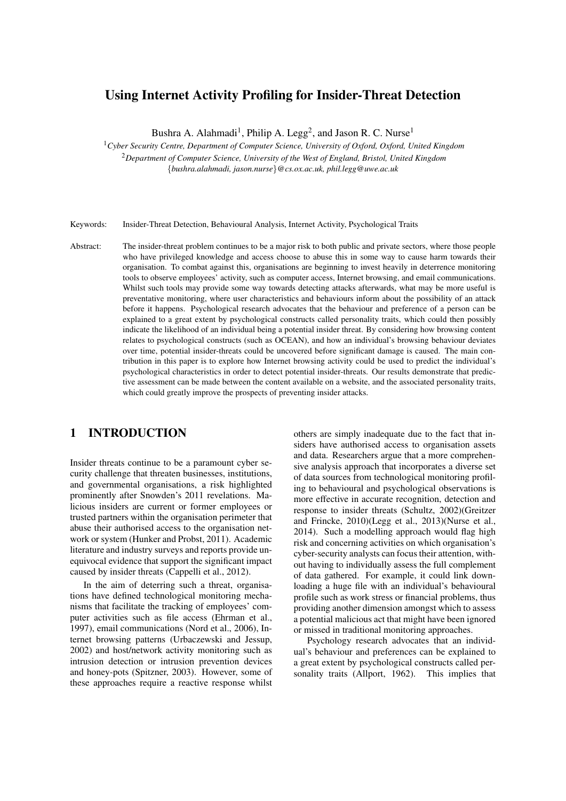# Using Internet Activity Profiling for Insider-Threat Detection

Bushra A. Alahmadi<sup>1</sup>, Philip A. Legg<sup>2</sup>, and Jason R. C. Nurse<sup>1</sup>

<sup>1</sup>*Cyber Security Centre, Department of Computer Science, University of Oxford, Oxford, United Kingdom*

<sup>2</sup>*Department of Computer Science, University of the West of England, Bristol, United Kingdom* {*bushra.alahmadi, jason.nurse*}*@cs.ox.ac.uk, phil.legg@uwe.ac.uk*

Keywords: Insider-Threat Detection, Behavioural Analysis, Internet Activity, Psychological Traits

Abstract: The insider-threat problem continues to be a major risk to both public and private sectors, where those people who have privileged knowledge and access choose to abuse this in some way to cause harm towards their organisation. To combat against this, organisations are beginning to invest heavily in deterrence monitoring tools to observe employees' activity, such as computer access, Internet browsing, and email communications. Whilst such tools may provide some way towards detecting attacks afterwards, what may be more useful is preventative monitoring, where user characteristics and behaviours inform about the possibility of an attack before it happens. Psychological research advocates that the behaviour and preference of a person can be explained to a great extent by psychological constructs called personality traits, which could then possibly indicate the likelihood of an individual being a potential insider threat. By considering how browsing content relates to psychological constructs (such as OCEAN), and how an individual's browsing behaviour deviates over time, potential insider-threats could be uncovered before significant damage is caused. The main contribution in this paper is to explore how Internet browsing activity could be used to predict the individual's psychological characteristics in order to detect potential insider-threats. Our results demonstrate that predictive assessment can be made between the content available on a website, and the associated personality traits, which could greatly improve the prospects of preventing insider attacks.

## 1 INTRODUCTION

Insider threats continue to be a paramount cyber security challenge that threaten businesses, institutions, and governmental organisations, a risk highlighted prominently after Snowden's 2011 revelations. Malicious insiders are current or former employees or trusted partners within the organisation perimeter that abuse their authorised access to the organisation network or system (Hunker and Probst, 2011). Academic literature and industry surveys and reports provide unequivocal evidence that support the significant impact caused by insider threats (Cappelli et al., 2012).

In the aim of deterring such a threat, organisations have defined technological monitoring mechanisms that facilitate the tracking of employees' computer activities such as file access (Ehrman et al., 1997), email communications (Nord et al., 2006), Internet browsing patterns (Urbaczewski and Jessup, 2002) and host/network activity monitoring such as intrusion detection or intrusion prevention devices and honey-pots (Spitzner, 2003). However, some of these approaches require a reactive response whilst others are simply inadequate due to the fact that insiders have authorised access to organisation assets and data. Researchers argue that a more comprehensive analysis approach that incorporates a diverse set of data sources from technological monitoring profiling to behavioural and psychological observations is more effective in accurate recognition, detection and response to insider threats (Schultz, 2002)(Greitzer and Frincke, 2010)(Legg et al., 2013)(Nurse et al., 2014). Such a modelling approach would flag high risk and concerning activities on which organisation's cyber-security analysts can focus their attention, without having to individually assess the full complement of data gathered. For example, it could link downloading a huge file with an individual's behavioural profile such as work stress or financial problems, thus providing another dimension amongst which to assess a potential malicious act that might have been ignored or missed in traditional monitoring approaches.

Psychology research advocates that an individual's behaviour and preferences can be explained to a great extent by psychological constructs called personality traits (Allport, 1962). This implies that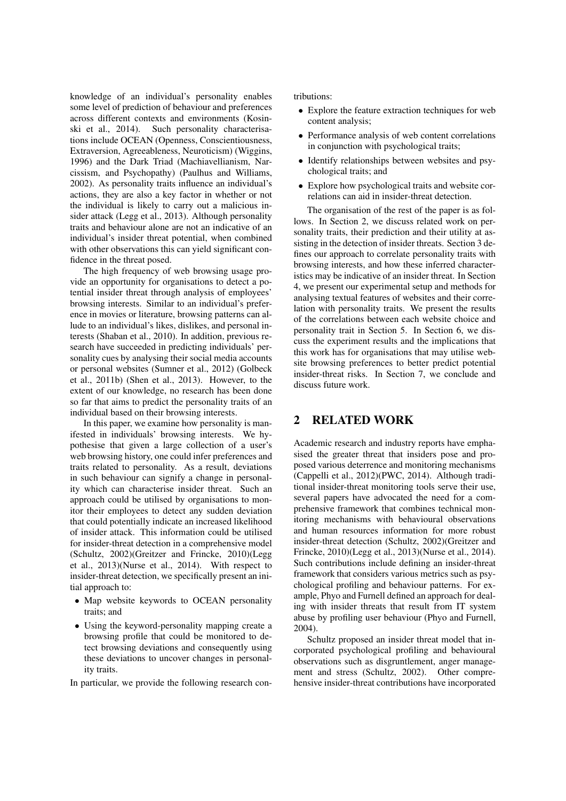knowledge of an individual's personality enables some level of prediction of behaviour and preferences across different contexts and environments (Kosinski et al., 2014). Such personality characterisations include OCEAN (Openness, Conscientiousness, Extraversion, Agreeableness, Neuroticism) (Wiggins, 1996) and the Dark Triad (Machiavellianism, Narcissism, and Psychopathy) (Paulhus and Williams, 2002). As personality traits influence an individual's actions, they are also a key factor in whether or not the individual is likely to carry out a malicious insider attack (Legg et al., 2013). Although personality traits and behaviour alone are not an indicative of an individual's insider threat potential, when combined with other observations this can yield significant confidence in the threat posed.

The high frequency of web browsing usage provide an opportunity for organisations to detect a potential insider threat through analysis of employees' browsing interests. Similar to an individual's preference in movies or literature, browsing patterns can allude to an individual's likes, dislikes, and personal interests (Shaban et al., 2010). In addition, previous research have succeeded in predicting individuals' personality cues by analysing their social media accounts or personal websites (Sumner et al., 2012) (Golbeck et al., 2011b) (Shen et al., 2013). However, to the extent of our knowledge, no research has been done so far that aims to predict the personality traits of an individual based on their browsing interests.

In this paper, we examine how personality is manifested in individuals' browsing interests. We hypothesise that given a large collection of a user's web browsing history, one could infer preferences and traits related to personality. As a result, deviations in such behaviour can signify a change in personality which can characterise insider threat. Such an approach could be utilised by organisations to monitor their employees to detect any sudden deviation that could potentially indicate an increased likelihood of insider attack. This information could be utilised for insider-threat detection in a comprehensive model (Schultz, 2002)(Greitzer and Frincke, 2010)(Legg et al., 2013)(Nurse et al., 2014). With respect to insider-threat detection, we specifically present an initial approach to:

- Map website keywords to OCEAN personality traits; and
- Using the keyword-personality mapping create a browsing profile that could be monitored to detect browsing deviations and consequently using these deviations to uncover changes in personality traits.

In particular, we provide the following research con-

tributions:

- Explore the feature extraction techniques for web content analysis;
- Performance analysis of web content correlations in conjunction with psychological traits;
- Identify relationships between websites and psychological traits; and
- Explore how psychological traits and website correlations can aid in insider-threat detection.

The organisation of the rest of the paper is as follows. In Section 2, we discuss related work on personality traits, their prediction and their utility at assisting in the detection of insider threats. Section 3 defines our approach to correlate personality traits with browsing interests, and how these inferred characteristics may be indicative of an insider threat. In Section 4, we present our experimental setup and methods for analysing textual features of websites and their correlation with personality traits. We present the results of the correlations between each website choice and personality trait in Section 5. In Section 6, we discuss the experiment results and the implications that this work has for organisations that may utilise website browsing preferences to better predict potential insider-threat risks. In Section 7, we conclude and discuss future work.

### 2 RELATED WORK

Academic research and industry reports have emphasised the greater threat that insiders pose and proposed various deterrence and monitoring mechanisms (Cappelli et al., 2012)(PWC, 2014). Although traditional insider-threat monitoring tools serve their use, several papers have advocated the need for a comprehensive framework that combines technical monitoring mechanisms with behavioural observations and human resources information for more robust insider-threat detection (Schultz, 2002)(Greitzer and Frincke, 2010)(Legg et al., 2013)(Nurse et al., 2014). Such contributions include defining an insider-threat framework that considers various metrics such as psychological profiling and behaviour patterns. For example, Phyo and Furnell defined an approach for dealing with insider threats that result from IT system abuse by profiling user behaviour (Phyo and Furnell, 2004).

Schultz proposed an insider threat model that incorporated psychological profiling and behavioural observations such as disgruntlement, anger management and stress (Schultz, 2002). Other comprehensive insider-threat contributions have incorporated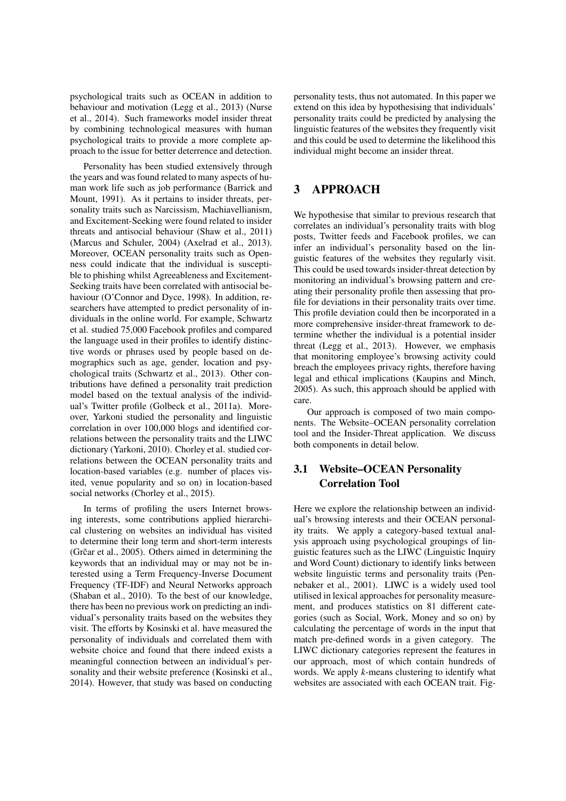psychological traits such as OCEAN in addition to behaviour and motivation (Legg et al., 2013) (Nurse et al., 2014). Such frameworks model insider threat by combining technological measures with human psychological traits to provide a more complete approach to the issue for better deterrence and detection.

Personality has been studied extensively through the years and was found related to many aspects of human work life such as job performance (Barrick and Mount, 1991). As it pertains to insider threats, personality traits such as Narcissism, Machiavellianism, and Excitement-Seeking were found related to insider threats and antisocial behaviour (Shaw et al., 2011) (Marcus and Schuler, 2004) (Axelrad et al., 2013). Moreover, OCEAN personality traits such as Openness could indicate that the individual is susceptible to phishing whilst Agreeableness and Excitement-Seeking traits have been correlated with antisocial behaviour (O'Connor and Dyce, 1998). In addition, researchers have attempted to predict personality of individuals in the online world. For example, Schwartz et al. studied 75,000 Facebook profiles and compared the language used in their profiles to identify distinctive words or phrases used by people based on demographics such as age, gender, location and psychological traits (Schwartz et al., 2013). Other contributions have defined a personality trait prediction model based on the textual analysis of the individual's Twitter profile (Golbeck et al., 2011a). Moreover, Yarkoni studied the personality and linguistic correlation in over 100,000 blogs and identified correlations between the personality traits and the LIWC dictionary (Yarkoni, 2010). Chorley et al. studied correlations between the OCEAN personality traits and location-based variables (e.g. number of places visited, venue popularity and so on) in location-based social networks (Chorley et al., 2015).

In terms of profiling the users Internet browsing interests, some contributions applied hierarchical clustering on websites an individual has visited to determine their long term and short-term interests (Grčar et al.,  $2005$ ). Others aimed in determining the keywords that an individual may or may not be interested using a Term Frequency-Inverse Document Frequency (TF-IDF) and Neural Networks approach (Shaban et al., 2010). To the best of our knowledge, there has been no previous work on predicting an individual's personality traits based on the websites they visit. The efforts by Kosinski et al. have measured the personality of individuals and correlated them with website choice and found that there indeed exists a meaningful connection between an individual's personality and their website preference (Kosinski et al., 2014). However, that study was based on conducting personality tests, thus not automated. In this paper we extend on this idea by hypothesising that individuals' personality traits could be predicted by analysing the linguistic features of the websites they frequently visit and this could be used to determine the likelihood this individual might become an insider threat.

# 3 APPROACH

We hypothesise that similar to previous research that correlates an individual's personality traits with blog posts, Twitter feeds and Facebook profiles, we can infer an individual's personality based on the linguistic features of the websites they regularly visit. This could be used towards insider-threat detection by monitoring an individual's browsing pattern and creating their personality profile then assessing that profile for deviations in their personality traits over time. This profile deviation could then be incorporated in a more comprehensive insider-threat framework to determine whether the individual is a potential insider threat (Legg et al., 2013). However, we emphasis that monitoring employee's browsing activity could breach the employees privacy rights, therefore having legal and ethical implications (Kaupins and Minch, 2005). As such, this approach should be applied with care.

Our approach is composed of two main components. The Website–OCEAN personality correlation tool and the Insider-Threat application. We discuss both components in detail below.

## 3.1 Website–OCEAN Personality Correlation Tool

Here we explore the relationship between an individual's browsing interests and their OCEAN personality traits. We apply a category-based textual analysis approach using psychological groupings of linguistic features such as the LIWC (Linguistic Inquiry and Word Count) dictionary to identify links between website linguistic terms and personality traits (Pennebaker et al., 2001). LIWC is a widely used tool utilised in lexical approaches for personality measurement, and produces statistics on 81 different categories (such as Social, Work, Money and so on) by calculating the percentage of words in the input that match pre-defined words in a given category. The LIWC dictionary categories represent the features in our approach, most of which contain hundreds of words. We apply *k*-means clustering to identify what websites are associated with each OCEAN trait. Fig-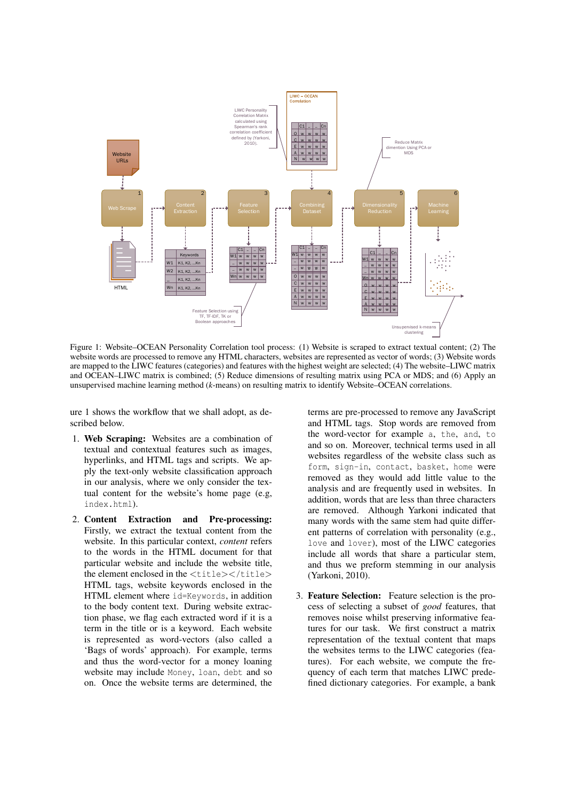

Figure 1: Website–OCEAN Personality Correlation tool process: (1) Website is scraped to extract textual content; (2) The website words are processed to remove any HTML characters, websites are represented as vector of words; (3) Website words are mapped to the LIWC features (categories) and features with the highest weight are selected; (4) The website–LIWC matrix and OCEAN–LIWC matrix is combined; (5) Reduce dimensions of resulting matrix using PCA or MDS; and (6) Apply an unsupervised machine learning method (*k*-means) on resulting matrix to identify Website–OCEAN correlations.

ure 1 shows the workflow that we shall adopt, as described below.

- 1. Web Scraping: Websites are a combination of textual and contextual features such as images, hyperlinks, and HTML tags and scripts. We apply the text-only website classification approach in our analysis, where we only consider the textual content for the website's home page (e.g, index.html).
- 2. Content Extraction and Pre-processing: Firstly, we extract the textual content from the website. In this particular context, *content* refers to the words in the HTML document for that particular website and include the website title, the element enclosed in the  $\langle \text{title}\rangle\langle \text{title}\rangle$ HTML tags, website keywords enclosed in the HTML element where id=Keywords, in addition to the body content text. During website extraction phase, we flag each extracted word if it is a term in the title or is a keyword. Each website is represented as word-vectors (also called a 'Bags of words' approach). For example, terms and thus the word-vector for a money loaning website may include Money, loan, debt and so on. Once the website terms are determined, the

terms are pre-processed to remove any JavaScript and HTML tags. Stop words are removed from the word-vector for example a, the, and, to and so on. Moreover, technical terms used in all websites regardless of the website class such as form, sign-in, contact, basket, home were removed as they would add little value to the analysis and are frequently used in websites. In addition, words that are less than three characters are removed. Although Yarkoni indicated that many words with the same stem had quite different patterns of correlation with personality (e.g., love and lover), most of the LIWC categories include all words that share a particular stem, and thus we preform stemming in our analysis (Yarkoni, 2010).

3. Feature Selection: Feature selection is the process of selecting a subset of *good* features, that removes noise whilst preserving informative features for our task. We first construct a matrix representation of the textual content that maps the websites terms to the LIWC categories (features). For each website, we compute the frequency of each term that matches LIWC predefined dictionary categories. For example, a bank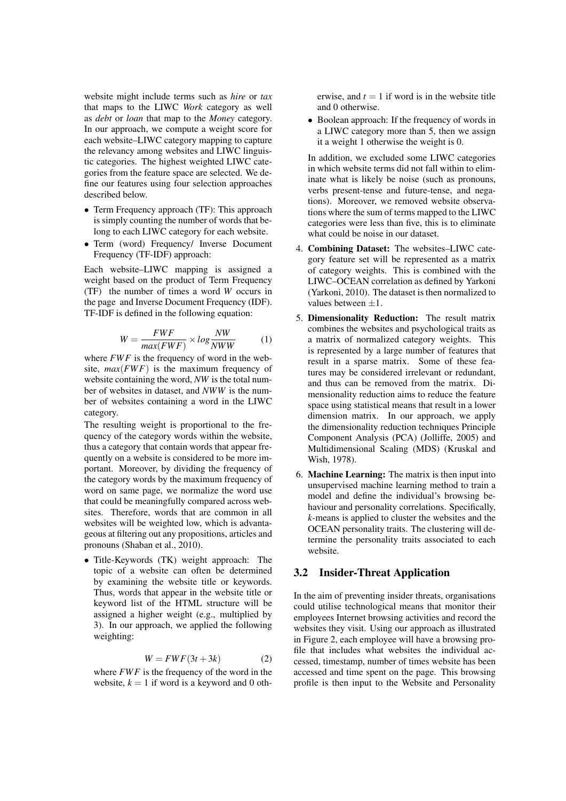website might include terms such as *hire* or *tax* that maps to the LIWC *Work* category as well as *debt* or *loan* that map to the *Money* category. In our approach, we compute a weight score for each website–LIWC category mapping to capture the relevancy among websites and LIWC linguistic categories. The highest weighted LIWC categories from the feature space are selected. We define our features using four selection approaches described below.

- Term Frequency approach (TF): This approach is simply counting the number of words that belong to each LIWC category for each website.
- Term (word) Frequency/ Inverse Document Frequency (TF-IDF) approach:

Each website–LIWC mapping is assigned a weight based on the product of Term Frequency (TF) the number of times a word *W* occurs in the page and Inverse Document Frequency (IDF). TF-IDF is defined in the following equation:

$$
W = \frac{FWF}{max(FWF)} \times log\frac{NW}{NWW}
$$
 (1)

where  $FWF$  is the frequency of word in the website,  $max(FWF)$  is the maximum frequency of website containing the word, *NW* is the total number of websites in dataset, and *NWW* is the number of websites containing a word in the LIWC category.

The resulting weight is proportional to the frequency of the category words within the website, thus a category that contain words that appear frequently on a website is considered to be more important. Moreover, by dividing the frequency of the category words by the maximum frequency of word on same page, we normalize the word use that could be meaningfully compared across websites. Therefore, words that are common in all websites will be weighted low, which is advantageous at filtering out any propositions, articles and pronouns (Shaban et al., 2010).

• Title-Keywords (TK) weight approach: The topic of a website can often be determined by examining the website title or keywords. Thus, words that appear in the website title or keyword list of the HTML structure will be assigned a higher weight (e.g., multiplied by 3). In our approach, we applied the following weighting:

$$
W = FWF(3t + 3k)
$$
 (2)

where *FWF* is the frequency of the word in the website,  $k = 1$  if word is a keyword and 0 otherwise, and  $t = 1$  if word is in the website title and 0 otherwise.

• Boolean approach: If the frequency of words in a LIWC category more than 5, then we assign it a weight 1 otherwise the weight is 0.

In addition, we excluded some LIWC categories in which website terms did not fall within to eliminate what is likely be noise (such as pronouns, verbs present-tense and future-tense, and negations). Moreover, we removed website observations where the sum of terms mapped to the LIWC categories were less than five, this is to eliminate what could be noise in our dataset.

- 4. Combining Dataset: The websites–LIWC category feature set will be represented as a matrix of category weights. This is combined with the LIWC–OCEAN correlation as defined by Yarkoni (Yarkoni, 2010). The dataset is then normalized to values between  $+1$ .
- 5. Dimensionality Reduction: The result matrix combines the websites and psychological traits as a matrix of normalized category weights. This is represented by a large number of features that result in a sparse matrix. Some of these features may be considered irrelevant or redundant, and thus can be removed from the matrix. Dimensionality reduction aims to reduce the feature space using statistical means that result in a lower dimension matrix. In our approach, we apply the dimensionality reduction techniques Principle Component Analysis (PCA) (Jolliffe, 2005) and Multidimensional Scaling (MDS) (Kruskal and Wish, 1978).
- 6. Machine Learning: The matrix is then input into unsupervised machine learning method to train a model and define the individual's browsing behaviour and personality correlations. Specifically, *k*-means is applied to cluster the websites and the OCEAN personality traits. The clustering will determine the personality traits associated to each website.

### 3.2 Insider-Threat Application

In the aim of preventing insider threats, organisations could utilise technological means that monitor their employees Internet browsing activities and record the websites they visit. Using our approach as illustrated in Figure 2, each employee will have a browsing profile that includes what websites the individual accessed, timestamp, number of times website has been accessed and time spent on the page. This browsing profile is then input to the Website and Personality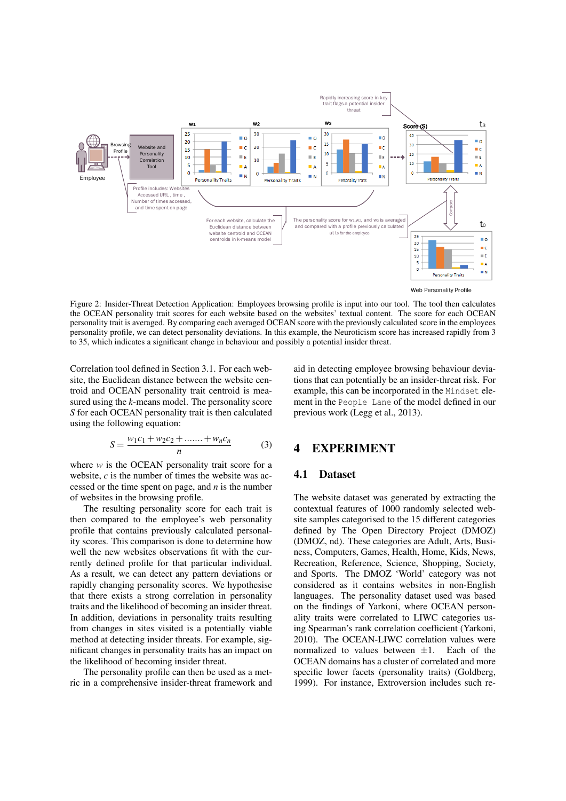

Figure 2: Insider-Threat Detection Application: Employees browsing profile is input into our tool. The tool then calculates the OCEAN personality trait scores for each website based on the websites' textual content. The score for each OCEAN personality trait is averaged. By comparing each averaged OCEAN score with the previously calculated score in the employees personality profile, we can detect personality deviations. In this example, the Neuroticism score has increased rapidly from 3 to 35, which indicates a significant change in behaviour and possibly a potential insider threat.

Correlation tool defined in Section 3.1. For each website, the Euclidean distance between the website centroid and OCEAN personality trait centroid is measured using the *k*-means model. The personality score *S* for each OCEAN personality trait is then calculated using the following equation:

aid in detecting employee browsing behaviour deviations that can potentially be an insider-threat risk. For example, this can be incorporated in the Mindset element in the People Lane of the model defined in our previous work (Legg et al., 2013).

$$
S = \frac{w_1c_1 + w_2c_2 + \dots + w_nc_n}{n}
$$
 (3)

where  $w$  is the OCEAN personality trait score for a website, *c* is the number of times the website was accessed or the time spent on page, and *n* is the number of websites in the browsing profile.

The resulting personality score for each trait is then compared to the employee's web personality profile that contains previously calculated personality scores. This comparison is done to determine how well the new websites observations fit with the currently defined profile for that particular individual. As a result, we can detect any pattern deviations or rapidly changing personality scores. We hypothesise that there exists a strong correlation in personality traits and the likelihood of becoming an insider threat. In addition, deviations in personality traits resulting from changes in sites visited is a potentially viable method at detecting insider threats. For example, significant changes in personality traits has an impact on the likelihood of becoming insider threat.

The personality profile can then be used as a metric in a comprehensive insider-threat framework and

## 4 EXPERIMENT

### 4.1 Dataset

The website dataset was generated by extracting the contextual features of 1000 randomly selected website samples categorised to the 15 different categories defined by The Open Directory Project (DMOZ) (DMOZ, nd). These categories are Adult, Arts, Business, Computers, Games, Health, Home, Kids, News, Recreation, Reference, Science, Shopping, Society, and Sports. The DMOZ 'World' category was not considered as it contains websites in non-English languages. The personality dataset used was based on the findings of Yarkoni, where OCEAN personality traits were correlated to LIWC categories using Spearman's rank correlation coefficient (Yarkoni, 2010). The OCEAN-LIWC correlation values were normalized to values between  $\pm 1$ . Each of the OCEAN domains has a cluster of correlated and more specific lower facets (personality traits) (Goldberg, 1999). For instance, Extroversion includes such re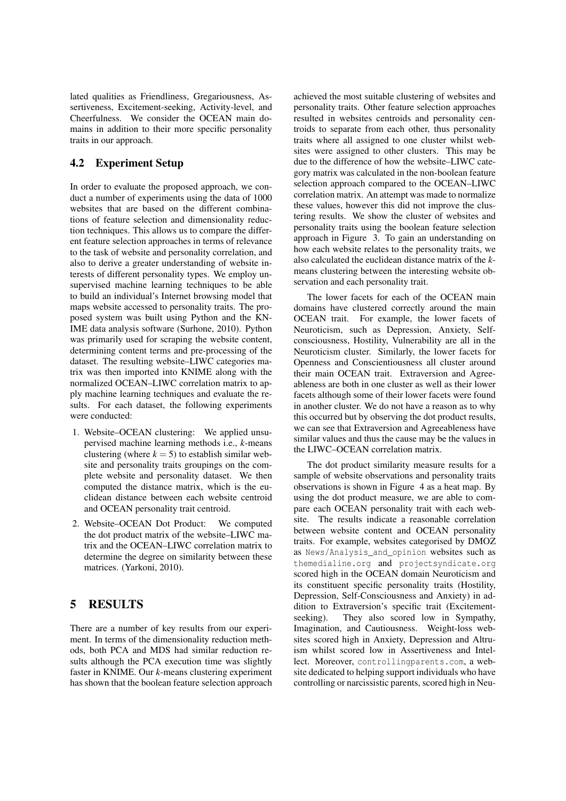lated qualities as Friendliness, Gregariousness, Assertiveness, Excitement-seeking, Activity-level, and Cheerfulness. We consider the OCEAN main domains in addition to their more specific personality traits in our approach.

## 4.2 Experiment Setup

In order to evaluate the proposed approach, we conduct a number of experiments using the data of 1000 websites that are based on the different combinations of feature selection and dimensionality reduction techniques. This allows us to compare the different feature selection approaches in terms of relevance to the task of website and personality correlation, and also to derive a greater understanding of website interests of different personality types. We employ unsupervised machine learning techniques to be able to build an individual's Internet browsing model that maps website accessed to personality traits. The proposed system was built using Python and the KN-IME data analysis software (Surhone, 2010). Python was primarily used for scraping the website content, determining content terms and pre-processing of the dataset. The resulting website–LIWC categories matrix was then imported into KNIME along with the normalized OCEAN–LIWC correlation matrix to apply machine learning techniques and evaluate the results. For each dataset, the following experiments were conducted:

- 1. Website–OCEAN clustering: We applied unsupervised machine learning methods i.e., *k*-means clustering (where  $k = 5$ ) to establish similar website and personality traits groupings on the complete website and personality dataset. We then computed the distance matrix, which is the euclidean distance between each website centroid and OCEAN personality trait centroid.
- 2. Website–OCEAN Dot Product: We computed the dot product matrix of the website–LIWC matrix and the OCEAN–LIWC correlation matrix to determine the degree on similarity between these matrices. (Yarkoni, 2010).

# 5 RESULTS

There are a number of key results from our experiment. In terms of the dimensionality reduction methods, both PCA and MDS had similar reduction results although the PCA execution time was slightly faster in KNIME. Our *k*-means clustering experiment has shown that the boolean feature selection approach

achieved the most suitable clustering of websites and personality traits. Other feature selection approaches resulted in websites centroids and personality centroids to separate from each other, thus personality traits where all assigned to one cluster whilst websites were assigned to other clusters. This may be due to the difference of how the website–LIWC category matrix was calculated in the non-boolean feature selection approach compared to the OCEAN–LIWC correlation matrix. An attempt was made to normalize these values, however this did not improve the clustering results. We show the cluster of websites and personality traits using the boolean feature selection approach in Figure 3. To gain an understanding on how each website relates to the personality traits, we also calculated the euclidean distance matrix of the *k*means clustering between the interesting website observation and each personality trait.

The lower facets for each of the OCEAN main domains have clustered correctly around the main OCEAN trait. For example, the lower facets of Neuroticism, such as Depression, Anxiety, Selfconsciousness, Hostility, Vulnerability are all in the Neuroticism cluster. Similarly, the lower facets for Openness and Conscientiousness all cluster around their main OCEAN trait. Extraversion and Agreeableness are both in one cluster as well as their lower facets although some of their lower facets were found in another cluster. We do not have a reason as to why this occurred but by observing the dot product results, we can see that Extraversion and Agreeableness have similar values and thus the cause may be the values in the LIWC–OCEAN correlation matrix.

The dot product similarity measure results for a sample of website observations and personality traits observations is shown in Figure 4 as a heat map. By using the dot product measure, we are able to compare each OCEAN personality trait with each website. The results indicate a reasonable correlation between website content and OCEAN personality traits. For example, websites categorised by DMOZ as News/Analysis\_and\_opinion websites such as themedialine.org and projectsyndicate.org scored high in the OCEAN domain Neuroticism and its constituent specific personality traits (Hostility, Depression, Self-Consciousness and Anxiety) in addition to Extraversion's specific trait (Excitementseeking). They also scored low in Sympathy, Imagination, and Cautiousness. Weight-loss websites scored high in Anxiety, Depression and Altruism whilst scored low in Assertiveness and Intellect. Moreover, controllingparents.com, a website dedicated to helping support individuals who have controlling or narcissistic parents, scored high in Neu-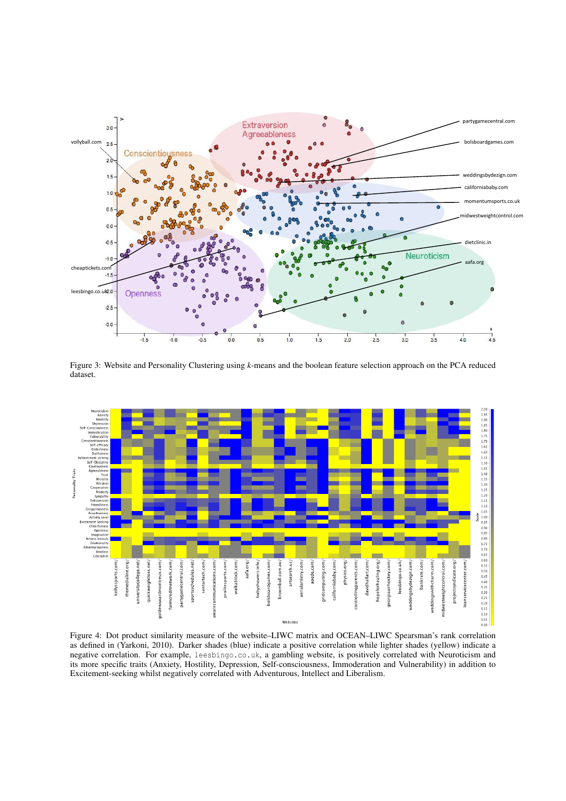

Figure 3: Website and Personality Clustering using *k*-means and the boolean feature selection approach on the PCA reduced dataset.



Figure 4: Dot product similarity measure of the website–LIWC matrix and OCEAN–LIWC Spearsman's rank correlation as defined in (Yarkoni, 2010). Darker shades (blue) indicate a positive correlation while lighter shades (yellow) indicate a negative correlation. For example, leesbingo.co.uk, a gambling website, is positively correlated with Neuroticism and its more specific traits (Anxiety, Hostility, Depression, Self-consciousness, Immoderation and Vulnerability) in addition to Excitement-seeking whilst negatively correlated with Adventurous, Intellect and Liberalism.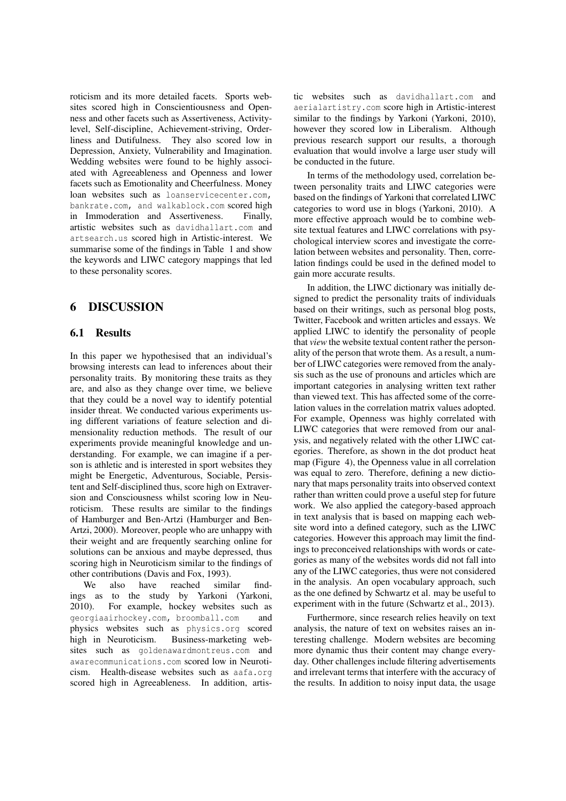roticism and its more detailed facets. Sports websites scored high in Conscientiousness and Openness and other facets such as Assertiveness, Activitylevel, Self-discipline, Achievement-striving, Orderliness and Dutifulness. They also scored low in Depression, Anxiety, Vulnerability and Imagination. Wedding websites were found to be highly associated with Agreeableness and Openness and lower facets such as Emotionality and Cheerfulness. Money loan websites such as loanservicecenter.com, bankrate.com, and walkablock.com scored high in Immoderation and Assertiveness. Finally, artistic websites such as davidhallart.com and artsearch.us scored high in Artistic-interest. We summarise some of the findings in Table 1 and show the keywords and LIWC category mappings that led to these personality scores.

## 6 DISCUSSION

#### 6.1 Results

In this paper we hypothesised that an individual's browsing interests can lead to inferences about their personality traits. By monitoring these traits as they are, and also as they change over time, we believe that they could be a novel way to identify potential insider threat. We conducted various experiments using different variations of feature selection and dimensionality reduction methods. The result of our experiments provide meaningful knowledge and understanding. For example, we can imagine if a person is athletic and is interested in sport websites they might be Energetic, Adventurous, Sociable, Persistent and Self-disciplined thus, score high on Extraversion and Consciousness whilst scoring low in Neuroticism. These results are similar to the findings of Hamburger and Ben-Artzi (Hamburger and Ben-Artzi, 2000). Moreover, people who are unhappy with their weight and are frequently searching online for solutions can be anxious and maybe depressed, thus scoring high in Neuroticism similar to the findings of other contributions (Davis and Fox, 1993).

We also have reached similar findings as to the study by Yarkoni (Yarkoni, 2010). For example, hockey websites such as georgiaairhockey.com, broomball.com and physics websites such as physics.org scored high in Neuroticism. Business-marketing websites such as goldenawardmontreus.com and awarecommunications.com scored low in Neuroticism. Health-disease websites such as aafa.org scored high in Agreeableness. In addition, artis-

tic websites such as davidhallart.com and aerialartistry.com score high in Artistic-interest similar to the findings by Yarkoni (Yarkoni, 2010), however they scored low in Liberalism. Although previous research support our results, a thorough evaluation that would involve a large user study will be conducted in the future.

In terms of the methodology used, correlation between personality traits and LIWC categories were based on the findings of Yarkoni that correlated LIWC categories to word use in blogs (Yarkoni, 2010). A more effective approach would be to combine website textual features and LIWC correlations with psychological interview scores and investigate the correlation between websites and personality. Then, correlation findings could be used in the defined model to gain more accurate results.

In addition, the LIWC dictionary was initially designed to predict the personality traits of individuals based on their writings, such as personal blog posts, Twitter, Facebook and written articles and essays. We applied LIWC to identify the personality of people that *view* the website textual content rather the personality of the person that wrote them. As a result, a number of LIWC categories were removed from the analysis such as the use of pronouns and articles which are important categories in analysing written text rather than viewed text. This has affected some of the correlation values in the correlation matrix values adopted. For example, Openness was highly correlated with LIWC categories that were removed from our analysis, and negatively related with the other LIWC categories. Therefore, as shown in the dot product heat map (Figure 4), the Openness value in all correlation was equal to zero. Therefore, defining a new dictionary that maps personality traits into observed context rather than written could prove a useful step for future work. We also applied the category-based approach in text analysis that is based on mapping each website word into a defined category, such as the LIWC categories. However this approach may limit the findings to preconceived relationships with words or categories as many of the websites words did not fall into any of the LIWC categories, thus were not considered in the analysis. An open vocabulary approach, such as the one defined by Schwartz et al. may be useful to experiment with in the future (Schwartz et al., 2013).

Furthermore, since research relies heavily on text analysis, the nature of text on websites raises an interesting challenge. Modern websites are becoming more dynamic thus their content may change everyday. Other challenges include filtering advertisements and irrelevant terms that interfere with the accuracy of the results. In addition to noisy input data, the usage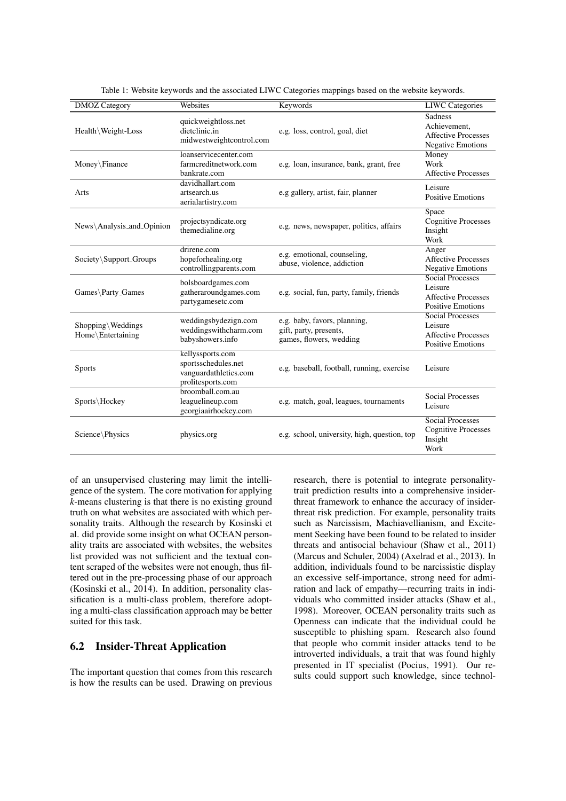| <b>DMOZ</b> Category                   | Websites                                                                              | Keywords                                                                          | <b>LIWC</b> Categories                                                                       |
|----------------------------------------|---------------------------------------------------------------------------------------|-----------------------------------------------------------------------------------|----------------------------------------------------------------------------------------------|
| Health Weight-Loss                     | quickweightloss.net<br>dietclinic.in<br>midwestweightcontrol.com                      | e.g. loss, control, goal, diet                                                    | <b>Sadness</b><br>Achievement,<br><b>Affective Processes</b><br><b>Negative Emotions</b>     |
| Money\Finance                          | loanservicecenter.com<br>farmcreditnetwork.com<br>bankrate.com                        | e.g. loan, insurance, bank, grant, free                                           | Money<br>Work<br><b>Affective Processes</b>                                                  |
| Arts                                   | davidhallart.com<br>artsearch.us<br>aerialartistry.com                                | e.g gallery, artist, fair, planner                                                | Leisure<br><b>Positive Emotions</b>                                                          |
| News\Analysis_and_Opinion              | projectsyndicate.org<br>themedialine.org                                              | e.g. news, newspaper, politics, affairs                                           | Space<br><b>Cognitive Processes</b><br>Insight<br>Work                                       |
| Society\Support_Groups                 | drirene.com<br>hopeforhealing.org<br>controllingparents.com                           | e.g. emotional, counseling,<br>abuse, violence, addiction                         | Anger<br><b>Affective Processes</b><br><b>Negative Emotions</b>                              |
| Games\Party_Games                      | bolsboardgames.com<br>gatheraroundgames.com<br>partygamesetc.com                      | e.g. social, fun, party, family, friends                                          | <b>Social Processes</b><br>Leisure<br><b>Affective Processes</b><br><b>Positive Emotions</b> |
| Shopping\Weddings<br>Home\Entertaining | weddingsbydezign.com<br>weddingswithcharm.com<br>babyshowers.info                     | e.g. baby, favors, planning,<br>gift, party, presents,<br>games, flowers, wedding | <b>Social Processes</b><br>Leisure<br><b>Affective Processes</b><br><b>Positive Emotions</b> |
| <b>Sports</b>                          | kellyssports.com<br>sportsschedules.net<br>vanguardathletics.com<br>prolitesports.com | e.g. baseball, football, running, exercise                                        | Leisure                                                                                      |
| Sports\Hockey                          | broomball.com.au<br>leaguelineup.com<br>georgiaairhockey.com                          | e.g. match, goal, leagues, tournaments                                            | <b>Social Processes</b><br>Leisure                                                           |
| Science\Physics                        | physics.org                                                                           | e.g. school, university, high, question, top                                      | <b>Social Processes</b><br><b>Cognitive Processes</b><br>Insight<br>Work                     |

Table 1: Website keywords and the associated LIWC Categories mappings based on the website keywords.

of an unsupervised clustering may limit the intelligence of the system. The core motivation for applying *k*-means clustering is that there is no existing ground truth on what websites are associated with which personality traits. Although the research by Kosinski et al. did provide some insight on what OCEAN personality traits are associated with websites, the websites list provided was not sufficient and the textual content scraped of the websites were not enough, thus filtered out in the pre-processing phase of our approach (Kosinski et al., 2014). In addition, personality classification is a multi-class problem, therefore adopting a multi-class classification approach may be better suited for this task.

### 6.2 Insider-Threat Application

The important question that comes from this research is how the results can be used. Drawing on previous

research, there is potential to integrate personalitytrait prediction results into a comprehensive insiderthreat framework to enhance the accuracy of insiderthreat risk prediction. For example, personality traits such as Narcissism, Machiavellianism, and Excitement Seeking have been found to be related to insider threats and antisocial behaviour (Shaw et al., 2011) (Marcus and Schuler, 2004) (Axelrad et al., 2013). In addition, individuals found to be narcissistic display an excessive self-importance, strong need for admiration and lack of empathy—recurring traits in individuals who committed insider attacks (Shaw et al., 1998). Moreover, OCEAN personality traits such as Openness can indicate that the individual could be susceptible to phishing spam. Research also found that people who commit insider attacks tend to be introverted individuals, a trait that was found highly presented in IT specialist (Pocius, 1991). Our results could support such knowledge, since technol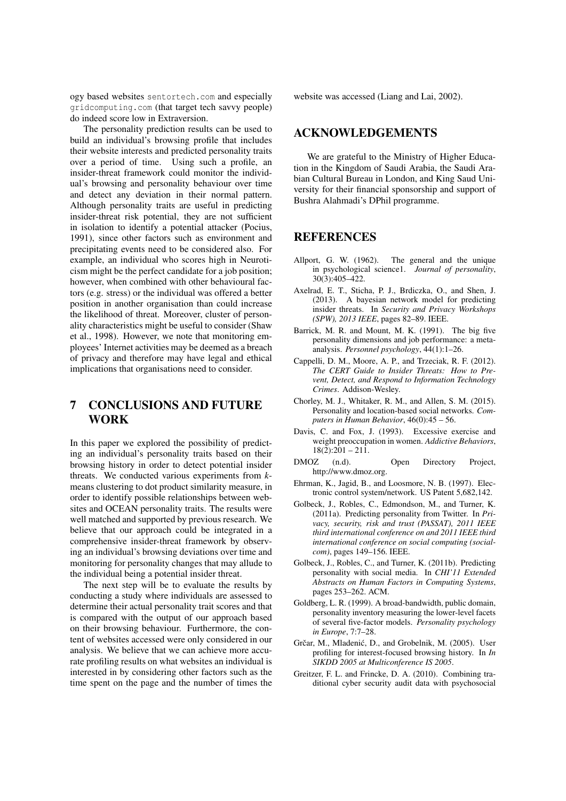ogy based websites sentortech.com and especially gridcomputing.com (that target tech savvy people) do indeed score low in Extraversion.

The personality prediction results can be used to build an individual's browsing profile that includes their website interests and predicted personality traits over a period of time. Using such a profile, an insider-threat framework could monitor the individual's browsing and personality behaviour over time and detect any deviation in their normal pattern. Although personality traits are useful in predicting insider-threat risk potential, they are not sufficient in isolation to identify a potential attacker (Pocius, 1991), since other factors such as environment and precipitating events need to be considered also. For example, an individual who scores high in Neuroticism might be the perfect candidate for a job position; however, when combined with other behavioural factors (e.g. stress) or the individual was offered a better position in another organisation than could increase the likelihood of threat. Moreover, cluster of personality characteristics might be useful to consider (Shaw et al., 1998). However, we note that monitoring employees' Internet activities may be deemed as a breach of privacy and therefore may have legal and ethical implications that organisations need to consider.

# 7 CONCLUSIONS AND FUTURE WORK

In this paper we explored the possibility of predicting an individual's personality traits based on their browsing history in order to detect potential insider threats. We conducted various experiments from *k*means clustering to dot product similarity measure, in order to identify possible relationships between websites and OCEAN personality traits. The results were well matched and supported by previous research. We believe that our approach could be integrated in a comprehensive insider-threat framework by observing an individual's browsing deviations over time and monitoring for personality changes that may allude to the individual being a potential insider threat.

The next step will be to evaluate the results by conducting a study where individuals are assessed to determine their actual personality trait scores and that is compared with the output of our approach based on their browsing behaviour. Furthermore, the content of websites accessed were only considered in our analysis. We believe that we can achieve more accurate profiling results on what websites an individual is interested in by considering other factors such as the time spent on the page and the number of times the website was accessed (Liang and Lai, 2002).

### ACKNOWLEDGEMENTS

We are grateful to the Ministry of Higher Education in the Kingdom of Saudi Arabia, the Saudi Arabian Cultural Bureau in London, and King Saud University for their financial sponsorship and support of Bushra Alahmadi's DPhil programme.

### REFERENCES

- Allport, G. W. (1962). The general and the unique in psychological science1. *Journal of personality*, 30(3):405–422.
- Axelrad, E. T., Sticha, P. J., Brdiczka, O., and Shen, J. (2013). A bayesian network model for predicting insider threats. In *Security and Privacy Workshops (SPW), 2013 IEEE*, pages 82–89. IEEE.
- Barrick, M. R. and Mount, M. K. (1991). The big five personality dimensions and job performance: a metaanalysis. *Personnel psychology*, 44(1):1–26.
- Cappelli, D. M., Moore, A. P., and Trzeciak, R. F. (2012). *The CERT Guide to Insider Threats: How to Prevent, Detect, and Respond to Information Technology Crimes*. Addison-Wesley.
- Chorley, M. J., Whitaker, R. M., and Allen, S. M. (2015). Personality and location-based social networks. *Computers in Human Behavior*, 46(0):45 – 56.
- Davis, C. and Fox, J. (1993). Excessive exercise and weight preoccupation in women. *Addictive Behaviors*,  $18(2):201 - 211.$
- DMOZ (n.d). Open Directory Project, http://www.dmoz.org.
- Ehrman, K., Jagid, B., and Loosmore, N. B. (1997). Electronic control system/network. US Patent 5,682,142.
- Golbeck, J., Robles, C., Edmondson, M., and Turner, K. (2011a). Predicting personality from Twitter. In *Privacy, security, risk and trust (PASSAT), 2011 IEEE third international conference on and 2011 IEEE third international conference on social computing (socialcom)*, pages 149–156. IEEE.
- Golbeck, J., Robles, C., and Turner, K. (2011b). Predicting personality with social media. In *CHI'11 Extended Abstracts on Human Factors in Computing Systems*, pages 253–262. ACM.
- Goldberg, L. R. (1999). A broad-bandwidth, public domain, personality inventory measuring the lower-level facets of several five-factor models. *Personality psychology in Europe*, 7:7–28.
- Grčar, M., Mladenić, D., and Grobelnik, M. (2005). User profiling for interest-focused browsing history. In *In SIKDD 2005 at Multiconference IS 2005*.
- Greitzer, F. L. and Frincke, D. A. (2010). Combining traditional cyber security audit data with psychosocial